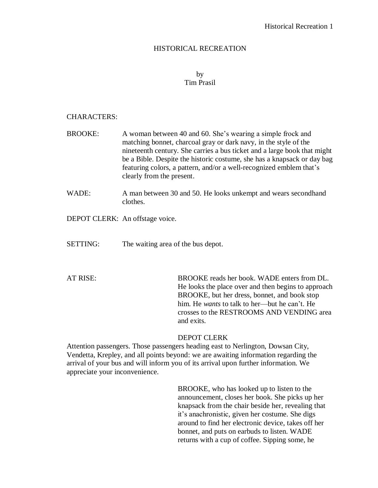# HISTORICAL RECREATION

# by Tim Prasil

# CHARACTERS:

BROOKE: A woman between 40 and 60. She's wearing a simple frock and matching bonnet, charcoal gray or dark navy, in the style of the nineteenth century. She carries a bus ticket and a large book that might be a Bible. Despite the historic costume, she has a knapsack or day bag featuring colors, a pattern, and/or a well-recognized emblem that's clearly from the present.

WADE: A man between 30 and 50. He looks unkempt and wears secondhand clothes.

DEPOT CLERK: An offstage voice.

SETTING: The waiting area of the bus depot.

AT RISE: BROOKE reads her book. WADE enters from DL. He looks the place over and then begins to approach BROOKE, but her dress, bonnet, and book stop him. He *wants* to talk to her—but he can't. He crosses to the RESTROOMS AND VENDING area and exits.

# DEPOT CLERK

Attention passengers. Those passengers heading east to Nerlington, Dowsan City, Vendetta, Krepley, and all points beyond: we are awaiting information regarding the arrival of your bus and will inform you of its arrival upon further information. We appreciate your inconvenience.

> BROOKE, who has looked up to listen to the announcement, closes her book. She picks up her knapsack from the chair beside her, revealing that it's anachronistic, given her costume. She digs around to find her electronic device, takes off her bonnet, and puts on earbuds to listen. WADE returns with a cup of coffee. Sipping some, he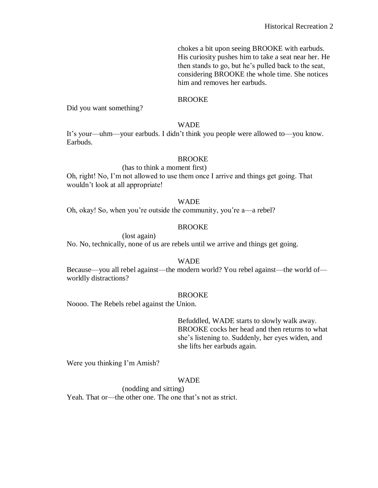chokes a bit upon seeing BROOKE with earbuds. His curiosity pushes him to take a seat near her. He then stands to go, but he's pulled back to the seat, considering BROOKE the whole time. She notices him and removes her earbuds.

### **BROOKE**

Did you want something?

### **WADE**

It's your—uhm—your earbuds. I didn't think you people were allowed to—you know. Earbuds.

## BROOKE

(has to think a moment first)

Oh, right! No, I'm not allowed to use them once I arrive and things get going. That wouldn't look at all appropriate!

#### WADE

Oh, okay! So, when you're outside the community, you're a—a rebel?

# BROOKE

### (lost again)

No. No, technically, none of us are rebels until we arrive and things get going.

## **WADE**

Because—you all rebel against—the modern world? You rebel against—the world of worldly distractions?

### BROOKE

Noooo. The Rebels rebel against the Union.

Befuddled, WADE starts to slowly walk away. BROOKE cocks her head and then returns to what she's listening to. Suddenly, her eyes widen, and she lifts her earbuds again.

Were you thinking I'm Amish?

# WADE

(nodding and sitting) Yeah. That or—the other one. The one that's not as strict.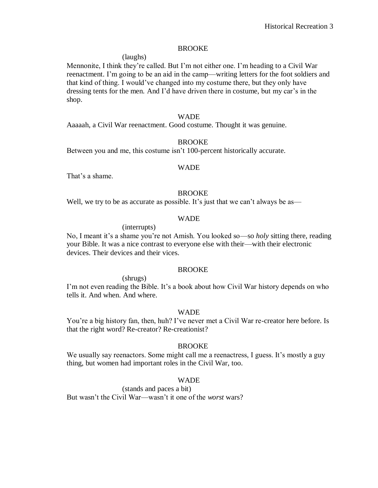### **BROOKE**

# (laughs)

Mennonite, I think they're called. But I'm not either one. I'm heading to a Civil War reenactment. I'm going to be an aid in the camp—writing letters for the foot soldiers and that kind of thing. I would've changed into my costume there, but they only have dressing tents for the men. And I'd have driven there in costume, but my car's in the shop.

#### WADE

Aaaaah, a Civil War reenactment. Good costume. Thought it was genuine.

# BROOKE

Between you and me, this costume isn't 100-percent historically accurate.

#### WADE

That's a shame.

# BROOKE

Well, we try to be as accurate as possible. It's just that we can't always be as—

### WADE

## (interrupts)

No, I meant it's a shame you're not Amish. You looked so—so *holy* sitting there, reading your Bible. It was a nice contrast to everyone else with their—with their electronic devices. Their devices and their vices.

#### BROOKE

#### (shrugs)

I'm not even reading the Bible. It's a book about how Civil War history depends on who tells it. And when. And where.

#### WADE

You're a big history fan, then, huh? I've never met a Civil War re-creator here before. Is that the right word? Re-creator? Re-creationist?

#### BROOKE

We usually say reenactors. Some might call me a reenactress, I guess. It's mostly a guy thing, but women had important roles in the Civil War, too.

# WADE

(stands and paces a bit) But wasn't the Civil War—wasn't it one of the *worst* wars?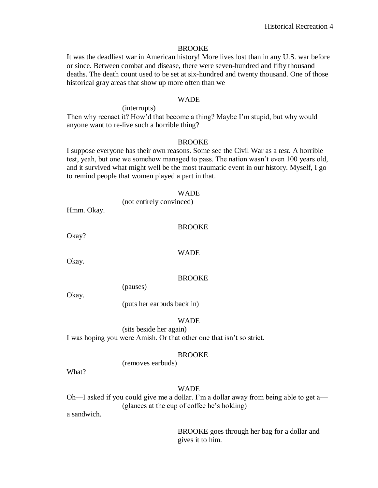#### BROOKE

It was the deadliest war in American history! More lives lost than in any U.S. war before or since. Between combat and disease, there were seven-hundred and fifty thousand deaths. The death count used to be set at six-hundred and twenty thousand. One of those historical gray areas that show up more often than we—

### **WADE**

(interrupts)

Then why reenact it? How'd that become a thing? Maybe I'm stupid, but why would anyone want to re-live such a horrible thing?

#### BROOKE

I suppose everyone has their own reasons. Some see the Civil War as a *test.* A horrible test, yeah, but one we somehow managed to pass. The nation wasn't even 100 years old, and it survived what might well be the most traumatic event in our history. Myself, I go to remind people that women played a part in that.

#### WADE

(not entirely convinced)

Hmm. Okay.

#### BROOKE

Okay?

#### WADE

Okay.

Okay.

#### BROOKE

(pauses)

(puts her earbuds back in)

#### **WADE**

(sits beside her again) I was hoping you were Amish. Or that other one that isn't so strict.

#### BROOKE

(removes earbuds)

What?

### WADE

Oh—I asked if you could give me a dollar. I'm a dollar away from being able to get a— (glances at the cup of coffee he's holding)

a sandwich.

BROOKE goes through her bag for a dollar and gives it to him.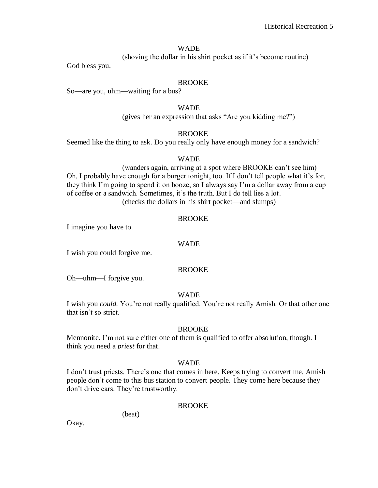(shoving the dollar in his shirt pocket as if it's become routine)

God bless you.

# BROOKE

So—are you, uhm—waiting for a bus?

# WADE

(gives her an expression that asks "Are you kidding me?")

# **BROOKE**

Seemed like the thing to ask. Do you really only have enough money for a sandwich?

# WADE

(wanders again, arriving at a spot where BROOKE can't see him) Oh, I probably have enough for a burger tonight, too. If I don't tell people what it's for, they think I'm going to spend it on booze, so I always say I'm a dollar away from a cup of coffee or a sandwich. Sometimes, it's the truth. But I do tell lies a lot. (checks the dollars in his shirt pocket—and slumps)

# BROOKE

I imagine you have to.

# WADE

I wish you could forgive me.

# BROOKE

Oh—uhm—I forgive you.

# WADE

I wish you *could.* You're not really qualified. You're not really Amish. Or that other one that isn't so strict.

# BROOKE

Mennonite. I'm not sure either one of them is qualified to offer absolution, though. I think you need a *priest* for that.

# WADE

I don't trust priests. There's one that comes in here. Keeps trying to convert me. Amish people don't come to this bus station to convert people. They come here because they don't drive cars. They're trustworthy.

# BROOKE

(beat)

Okay.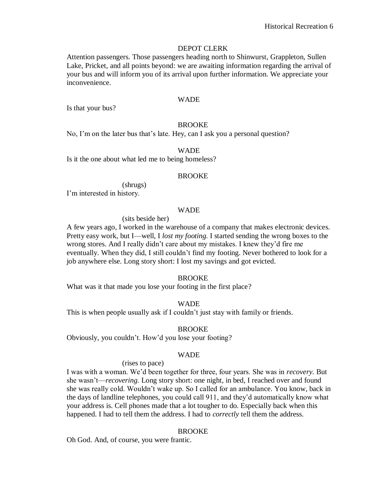### DEPOT CLERK

Attention passengers. Those passengers heading north to Shinwurst, Grappleton, Sullen Lake, Pricket, and all points beyond: we are awaiting information regarding the arrival of your bus and will inform you of its arrival upon further information. We appreciate your inconvenience.

### **WADE**

Is that your bus?

### BROOKE

No, I'm on the later bus that's late. Hey, can I ask you a personal question?

### **WADE**

Is it the one about what led me to being homeless?

#### **BROOKE**

(shrugs) I'm interested in history.

#### **WADE**

(sits beside her)

A few years ago, I worked in the warehouse of a company that makes electronic devices. Pretty easy work, but I—well, I *lost my footing.* I started sending the wrong boxes to the wrong stores. And I really didn't care about my mistakes. I knew they'd fire me eventually. When they did, I still couldn't find my footing. Never bothered to look for a job anywhere else. Long story short: I lost my savings and got evicted.

### BROOKE

What was it that made you lose your footing in the first place?

#### WADE

This is when people usually ask if I couldn't just stay with family or friends.

### BROOKE

Obviously, you couldn't. How'd you lose your footing?

#### **WADE**

# (rises to pace)

I was with a woman. We'd been together for three, four years. She was in *recovery.* But she wasn't—*recovering.* Long story short: one night, in bed, I reached over and found she was really cold. Wouldn't wake up. So I called for an ambulance. You know, back in the days of landline telephones, you could call 911, and they'd automatically know what your address is. Cell phones made that a lot tougher to do. Especially back when this happened. I had to tell them the address. I had to *correctly* tell them the address.

### BROOKE

Oh God. And, of course, you were frantic.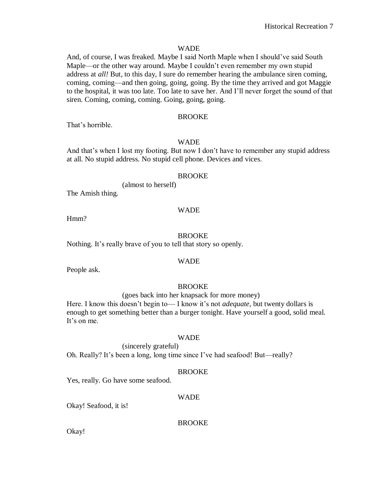And, of course, I was freaked. Maybe I said North Maple when I should've said South Maple—or the other way around. Maybe I couldn't even remember my own stupid address at *all!* But, to this day, I sure do remember hearing the ambulance siren coming, coming, coming—and then going, going, going. By the time they arrived and got Maggie to the hospital, it was too late. Too late to save her. And I'll never forget the sound of that siren. Coming, coming, coming. Going, going, going.

### BROOKE

That's horrible.

# WADE

And that's when I lost my footing. But now I don't have to remember any stupid address at all. No stupid address. No stupid cell phone. Devices and vices.

# BROOKE

(almost to herself)

The Amish thing.

# WADE

Hmm?

# BROOKE

Nothing. It's really brave of you to tell that story so openly.

### WADE

People ask.

# BROOKE

(goes back into her knapsack for more money)

Here. I know this doesn't begin to— I know it's not *adequate,* but twenty dollars is enough to get something better than a burger tonight. Have yourself a good, solid meal. It's on me.

# WADE

(sincerely grateful) Oh. Really? It's been a long, long time since I've had seafood! But—really?

# BROOKE

Yes, really. Go have some seafood.

# WADE

Okay! Seafood, it is!

### BROOKE

Okay!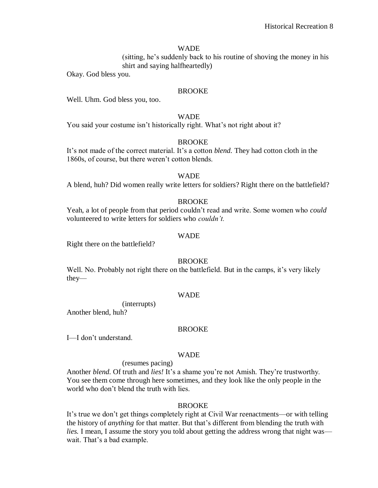(sitting, he's suddenly back to his routine of shoving the money in his shirt and saying halfheartedly)

Okay. God bless you.

### BROOKE

Well. Uhm. God bless you, too.

### WADE

You said your costume isn't historically right. What's not right about it?

# BROOKE

It's not made of the correct material. It's a cotton *blend.* They had cotton cloth in the 1860s, of course, but there weren't cotton blends.

### **WADE**

A blend, huh? Did women really write letters for soldiers? Right there on the battlefield?

#### BROOKE

Yeah, a lot of people from that period couldn't read and write. Some women who *could* volunteered to write letters for soldiers who *couldn't.*

### **WADE**

Right there on the battlefield?

# BROOKE

Well. No. Probably not right there on the battlefield. But in the camps, it's very likely they—

#### WADE

(interrupts) Another blend, huh?

### BROOKE

I—I don't understand.

#### WADE

# (resumes pacing)

Another *blend.* Of truth and *lies!* It's a shame you're not Amish. They're trustworthy. You see them come through here sometimes, and they look like the only people in the world who don't blend the truth with lies.

#### BROOKE

It's true we don't get things completely right at Civil War reenactments—or with telling the history of *anything* for that matter. But that's different from blending the truth with *lies.* I mean, I assume the story you told about getting the address wrong that night was wait. That's a bad example.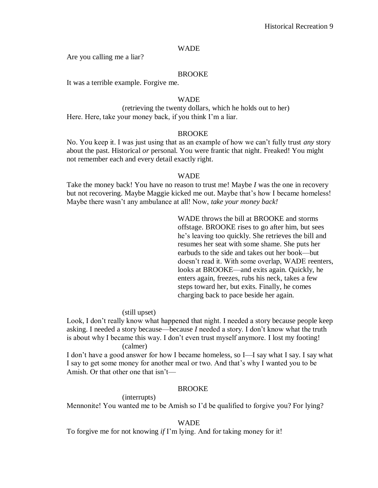Are you calling me a liar?

# BROOKE

It was a terrible example. Forgive me.

### **WADE**

(retrieving the twenty dollars, which he holds out to her) Here. Here, take your money back, if you think I'm a liar.

# **BROOKE**

No. You keep it. I was just using that as an example of how we can't fully trust *any* story about the past. Historical *or* personal. You were frantic that night. Freaked! You might not remember each and every detail exactly right.

# **WADE**

Take the money back! You have no reason to trust me! Maybe *I* was the one in recovery but not recovering. Maybe Maggie kicked me out. Maybe that's how I became homeless! Maybe there wasn't any ambulance at all! Now, *take your money back!*

> WADE throws the bill at BROOKE and storms offstage. BROOKE rises to go after him, but sees he's leaving too quickly. She retrieves the bill and resumes her seat with some shame. She puts her earbuds to the side and takes out her book—but doesn't read it. With some overlap, WADE reenters, looks at BROOKE—and exits again. Quickly, he enters again, freezes, rubs his neck, takes a few steps toward her, but exits. Finally, he comes charging back to pace beside her again.

# (still upset)

Look, I don't really know what happened that night. I needed a story because people keep asking. I needed a story because—because *I* needed a story. I don't know what the truth is about why I became this way. I don't even trust myself anymore. I lost my footing!

# (calmer)

I don't have a good answer for how I became homeless, so I—I say what I say. I say what I say to get some money for another meal or two. And that's why I wanted you to be Amish. Or that other one that isn't—

### BROOKE

# (interrupts)

Mennonite! You wanted me to be Amish so I'd be qualified to forgive you? For lying?

# WADE

To forgive me for not knowing *if* I'm lying. And for taking money for it!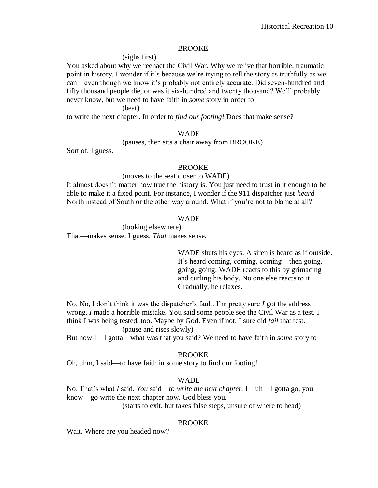#### BROOKE

## (sighs first)

You asked about why we reenact the Civil War. Why we relive that horrible, traumatic point in history. I wonder if it's because we're trying to tell the story as truthfully as we can—even though we know it's probably not entirely accurate. Did seven-hundred and fifty thousand people die, or was it six-hundred and twenty thousand? We'll probably never know, but we need to have faith in *some* story in order to—

### (beat)

to write the next chapter. In order to *find our footing!* Does that make sense?

### **WADE**

(pauses, then sits a chair away from BROOKE)

Sort of. I guess.

#### BROOKE

#### (moves to the seat closer to WADE)

It almost doesn't matter how true the history is. You just need to trust in it enough to be able to make it a fixed point. For instance, I wonder if the 911 dispatcher just *heard* North instead of South or the other way around. What if you're not to blame at all?

#### WADE

(looking elsewhere) That—makes sense. I guess. *That* makes sense.

> WADE shuts his eyes. A siren is heard as if outside. It's heard coming, coming, coming—then going, going, going. WADE reacts to this by grimacing and curling his body. No one else reacts to it. Gradually, he relaxes.

No. No, I don't think it was the dispatcher's fault. I'm pretty sure *I* got the address wrong. *I* made a horrible mistake. You said some people see the Civil War as a test. I think I was being tested, too. Maybe by God. Even if not, I sure did *fail* that test. (pause and rises slowly)

But now I—I gotta—what was that you said? We need to have faith in *some* story to—

#### BROOKE

Oh, uhm, I said—to have faith in some story to find our footing!

#### WADE

No. That's what *I* said. *You* said—*to write the next chapter.* I—uh—I gotta go, you know—go write the next chapter now. God bless you.

(starts to exit, but takes false steps, unsure of where to head)

#### BROOKE

Wait. Where are you headed now?